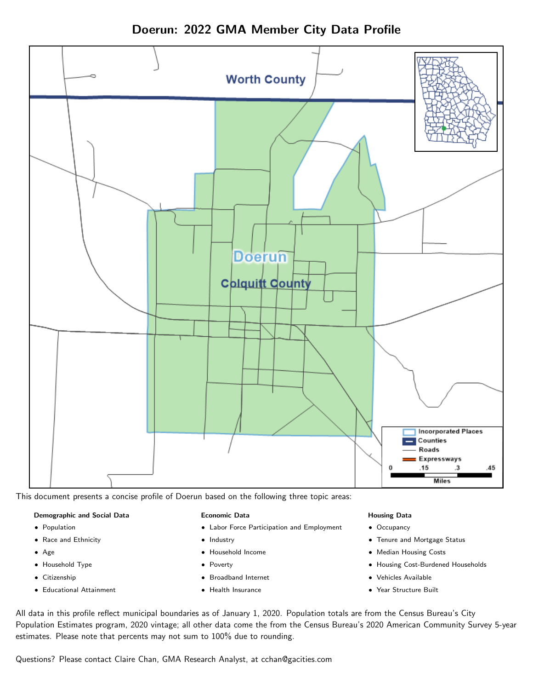

Doerun: 2022 GMA Member City Data Profile

This document presents a concise profile of Doerun based on the following three topic areas:

#### Demographic and Social Data

- **•** Population
- Race and Ethnicity
- Age
- Household Type
- **Citizenship**
- Educational Attainment

#### Economic Data

- Labor Force Participation and Employment
- Industry
- Household Income
- Poverty
- Broadband Internet
- Health Insurance

#### Housing Data

- Occupancy
- Tenure and Mortgage Status
- Median Housing Costs
- Housing Cost-Burdened Households
- Vehicles Available
- Year Structure Built

All data in this profile reflect municipal boundaries as of January 1, 2020. Population totals are from the Census Bureau's City Population Estimates program, 2020 vintage; all other data come the from the Census Bureau's 2020 American Community Survey 5-year estimates. Please note that percents may not sum to 100% due to rounding.

Questions? Please contact Claire Chan, GMA Research Analyst, at [cchan@gacities.com.](mailto:cchan@gacities.com)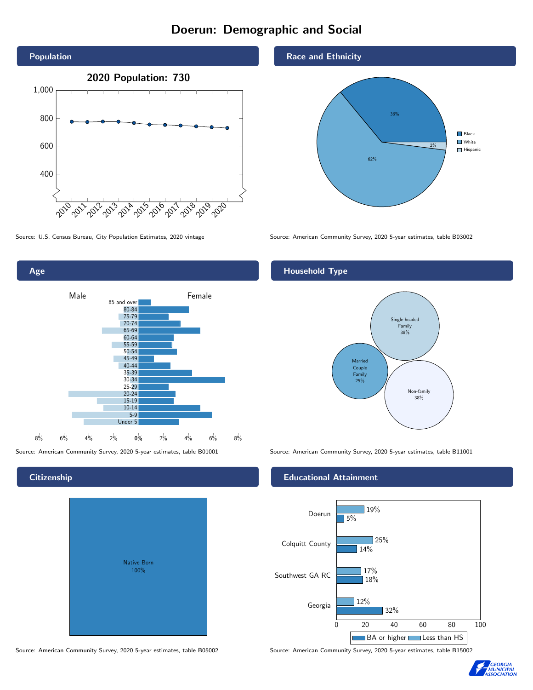# Doerun: Demographic and Social





## **Citizenship**

| Native Born<br>100% |  |
|---------------------|--|

Race and Ethnicity



Source: U.S. Census Bureau, City Population Estimates, 2020 vintage Source: American Community Survey, 2020 5-year estimates, table B03002

## Household Type



Source: American Community Survey, 2020 5-year estimates, table B01001 Source: American Community Survey, 2020 5-year estimates, table B11001

#### Educational Attainment



Source: American Community Survey, 2020 5-year estimates, table B05002 Source: American Community Survey, 2020 5-year estimates, table B15002

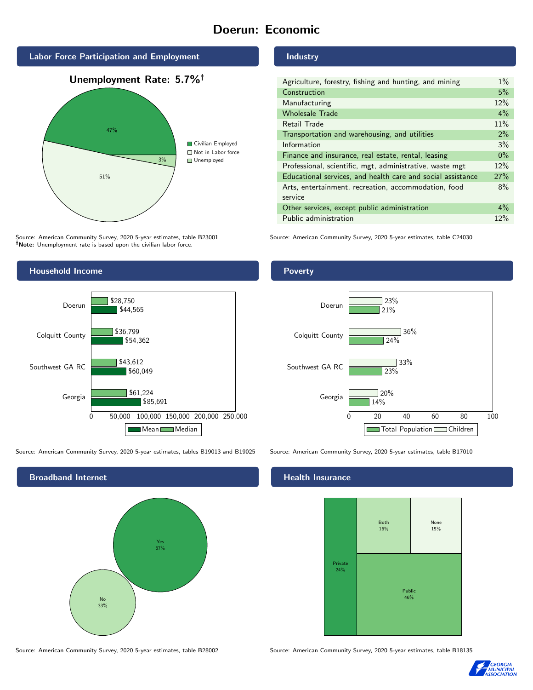# Doerun: Economic



Source: American Community Survey, 2020 5-year estimates, table B23001 Note: Unemployment rate is based upon the civilian labor force.

### Industry

| Agriculture, forestry, fishing and hunting, and mining      | $1\%$ |
|-------------------------------------------------------------|-------|
| Construction                                                | 5%    |
| Manufacturing                                               | 12%   |
| <b>Wholesale Trade</b>                                      | $4\%$ |
| Retail Trade                                                | 11%   |
| Transportation and warehousing, and utilities               |       |
| Information                                                 | 3%    |
| Finance and insurance, real estate, rental, leasing         |       |
| Professional, scientific, mgt, administrative, waste mgt    |       |
| Educational services, and health care and social assistance |       |
| Arts, entertainment, recreation, accommodation, food        |       |
| service                                                     |       |
| Other services, except public administration                |       |
| Public administration                                       |       |

Source: American Community Survey, 2020 5-year estimates, table C24030



Source: American Community Survey, 2020 5-year estimates, tables B19013 and B19025 Source: American Community Survey, 2020 5-year estimates, table B17010



Source: American Community Survey, 2020 5-year estimates, table B28002 Source: American Community Survey, 2020 5-year estimates, table B18135

Poverty



## **Health Insurance**